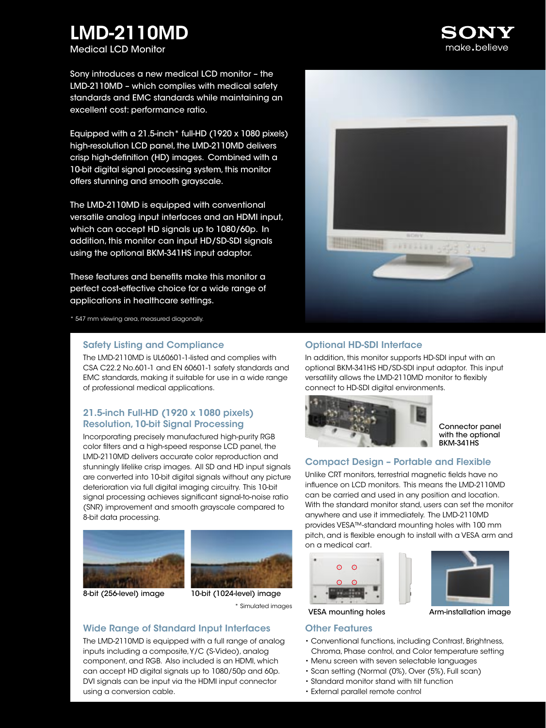# LMD-2110MD

Medical LCD Monitor

Sony introduces a new medical LCD monitor – the LMD-2110MD – which complies with medical safety standards and EMC standards while maintaining an excellent cost: performance ratio.

Equipped with a 21.5-inch\* full-HD (1920 x 1080 pixels) high-resolution LCD panel, the LMD-2110MD delivers crisp high-definition (HD) images. Combined with a 10-bit digital signal processing system, this monitor offers stunning and smooth grayscale.

The LMD-2110MD is equipped with conventional versatile analog input interfaces and an HDMI input, which can accept HD signals up to 1080/60p. In addition, this monitor can input HD/SD-SDI signals using the optional BKM-341HS input adaptor.

These features and benefits make this monitor a perfect cost-effective choice for a wide range of applications in healthcare settings.

\* 547 mm viewing area, measured diagonally.

#### Safety Listing and Compliance

The LMD-2110MD is UL60601-1-listed and complies with CSA C22.2 No.601-1 and EN 60601-1 safety standards and EMC standards, making it suitable for use in a wide range of professional medical applications.

## 21.5-inch Full-HD (1920 x 1080 pixels) Resolution, 10-bit Signal Processing

Incorporating precisely manufactured high-purity RGB color filters and a high-speed response LCD panel, the LMD-2110MD delivers accurate color reproduction and stunningly lifelike crisp images. All SD and HD input signals are converted into 10-bit digital signals without any picture deterioration via full digital imaging circuitry. This 10-bit signal processing achieves significant signal-to-noise ratio (SNR) improvement and smooth grayscale compared to 8-bit data processing.







## Wide Range of Standard Input Interfaces

The LMD-2110MD is equipped with a full range of analog inputs including a composite, Y/C (S-Video), analog component, and RGB. Also included is an HDMI, which can accept HD digital signals up to 1080/50p and 60p. DVI signals can be input via the HDMI input connector using a conversion cable.



#### Optional HD-SDI Interface

In addition, this monitor supports HD-SDI input with an optional BKM-341HS HD/SD-SDI input adaptor. This input versatility allows the LMD-2110MD monitor to flexibly connect to HD-SDI digital environments.



Connector panel with the optional BKM-341HS

## Compact Design – Portable and Flexible

Unlike CRT monitors, terrestrial magnetic fields have no influence on LCD monitors. This means the LMD-2110MD can be carried and used in any position and location. With the standard monitor stand, users can set the monitor anywhere and use it immediately. The LMD-2110MD provides VESA™-standard mounting holes with 100 mm pitch, and is flexible enough to install with a VESA arm and on a medical cart.



## Other Features

- Conventional functions, including Contrast, Brightness, Chroma, Phase control, and Color temperature setting
- Menu screen with seven selectable languages
- Scan setting (Normal (0%), Over (5%), Full scan)
- Standard monitor stand with tilt function
- External parallel remote control